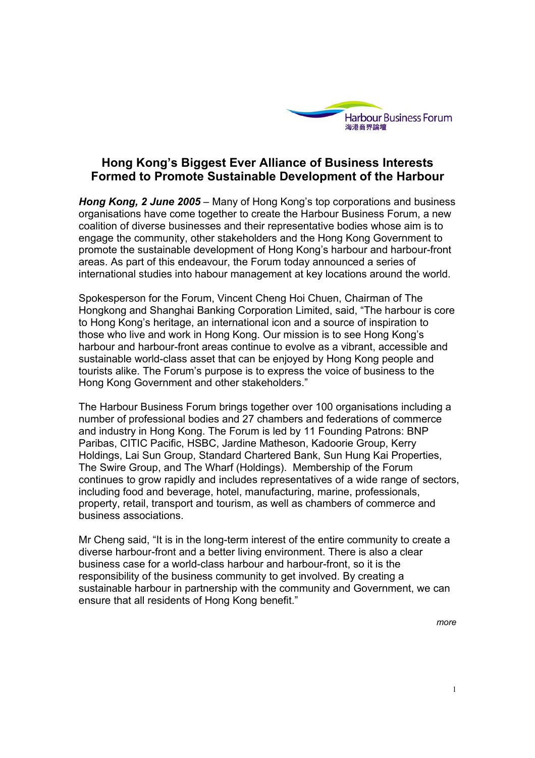

# **Hong Kong's Biggest Ever Alliance of Business Interests Formed to Promote Sustainable Development of the Harbour**

*Hong Kong, 2 June 2005* – Many of Hong Kong's top corporations and business organisations have come together to create the Harbour Business Forum, a new coalition of diverse businesses and their representative bodies whose aim is to engage the community, other stakeholders and the Hong Kong Government to promote the sustainable development of Hong Kong's harbour and harbour-front areas. As part of this endeavour, the Forum today announced a series of international studies into habour management at key locations around the world.

Spokesperson for the Forum, Vincent Cheng Hoi Chuen, Chairman of The Hongkong and Shanghai Banking Corporation Limited, said, "The harbour is core to Hong Kong's heritage, an international icon and a source of inspiration to those who live and work in Hong Kong. Our mission is to see Hong Kong's harbour and harbour-front areas continue to evolve as a vibrant, accessible and sustainable world-class asset that can be enjoyed by Hong Kong people and tourists alike. The Forum's purpose is to express the voice of business to the Hong Kong Government and other stakeholders."

The Harbour Business Forum brings together over 100 organisations including a number of professional bodies and 27 chambers and federations of commerce and industry in Hong Kong. The Forum is led by 11 Founding Patrons: BNP Paribas, CITIC Pacific, HSBC, Jardine Matheson, Kadoorie Group, Kerry Holdings, Lai Sun Group, Standard Chartered Bank, Sun Hung Kai Properties, The Swire Group, and The Wharf (Holdings). Membership of the Forum continues to grow rapidly and includes representatives of a wide range of sectors, including food and beverage, hotel, manufacturing, marine, professionals, property, retail, transport and tourism, as well as chambers of commerce and business associations.

Mr Cheng said, "It is in the long-term interest of the entire community to create a diverse harbour-front and a better living environment. There is also a clear business case for a world-class harbour and harbour-front, so it is the responsibility of the business community to get involved. By creating a sustainable harbour in partnership with the community and Government, we can ensure that all residents of Hong Kong benefit."

*more*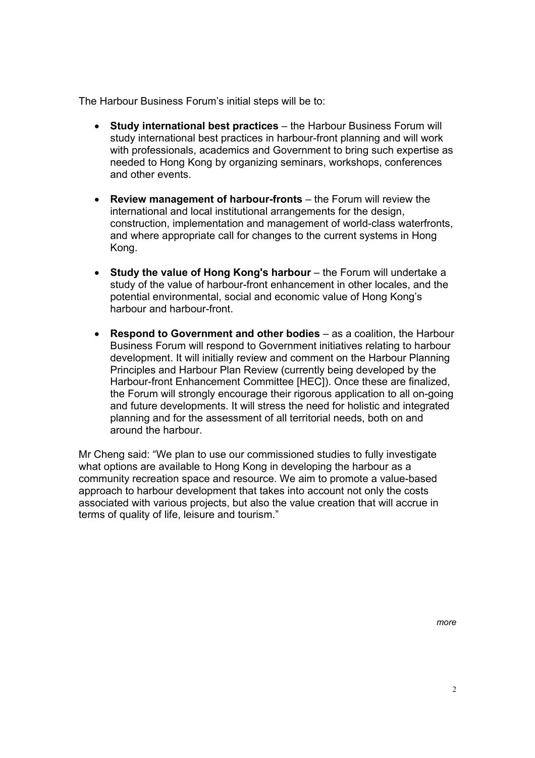The Harbour Business Forum's initial steps will be to:

- **Study international best practices**  the Harbour Business Forum will study international best practices in harbour-front planning and will work with professionals, academics and Government to bring such expertise as needed to Hong Kong by organizing seminars, workshops, conferences and other events.
- **Review management of harbour-fronts**  the Forum will review the international and local institutional arrangements for the design, construction, implementation and management of world-class waterfronts, and where appropriate call for changes to the current systems in Hong Kong.
- Study the value of Hong Kong's harbour the Forum will undertake a study of the value of harbour-front enhancement in other locales, and the potential environmental, social and economic value of Hong Kong's harbour and harbour-front.
- **Respond to Government and other bodies**  as a coalition, the Harbour Business Forum will respond to Government initiatives relating to harbour development. It will initially review and comment on the Harbour Planning Principles and Harbour Plan Review (currently being developed by the Harbour-front Enhancement Committee [HEC]). Once these are finalized, the Forum will strongly encourage their rigorous application to all on-going and future developments. It will stress the need for holistic and integrated planning and for the assessment of all territorial needs, both on and around the harbour.

Mr Cheng said: "We plan to use our commissioned studies to fully investigate what options are available to Hong Kong in developing the harbour as a community recreation space and resource. We aim to promote a value-based approach to harbour development that takes into account not only the costs associated with various projects, but also the value creation that will accrue in terms of quality of life, leisure and tourism."